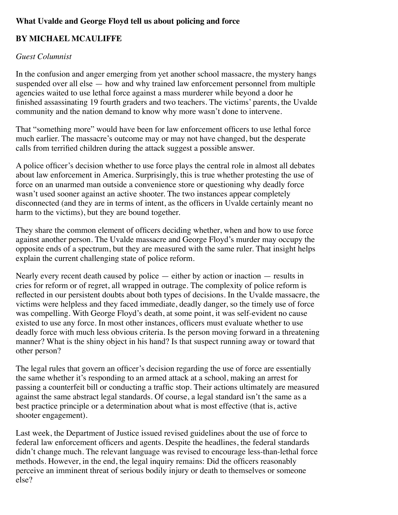## **What Uvalde and George Floyd tell us about policing and force**

## **BY MICHAEL MCAULIFFE**

## *Guest Columnist*

In the confusion and anger emerging from yet another school massacre, the mystery hangs suspended over all else — how and why trained law enforcement personnel from multiple agencies waited to use lethal force against a mass murderer while beyond a door he finished assassinating 19 fourth graders and two teachers. The victims' parents, the Uvalde community and the nation demand to know why more wasn't done to intervene.

That "something more" would have been for law enforcement officers to use lethal force much earlier. The massacre's outcome may or may not have changed, but the desperate calls from terrified children during the attack suggest a possible answer.

A police officer's decision whether to use force plays the central role in almost all debates about law enforcement in America. Surprisingly, this is true whether protesting the use of force on an unarmed man outside a convenience store or questioning why deadly force wasn't used sooner against an active shooter. The two instances appear completely disconnected (and they are in terms of intent, as the officers in Uvalde certainly meant no harm to the victims), but they are bound together.

They share the common element of officers deciding whether, when and how to use force against another person. The Uvalde massacre and George Floyd's murder may occupy the opposite ends of a spectrum, but they are measured with the same ruler. That insight helps explain the current challenging state of police reform.

Nearly every recent death caused by police  $-$  either by action or inaction  $-$  results in cries for reform or of regret, all wrapped in outrage. The complexity of police reform is reflected in our persistent doubts about both types of decisions. In the Uvalde massacre, the victims were helpless and they faced immediate, deadly danger, so the timely use of force was compelling. With George Floyd's death, at some point, it was self-evident no cause existed to use any force. In most other instances, officers must evaluate whether to use deadly force with much less obvious criteria. Is the person moving forward in a threatening manner? What is the shiny object in his hand? Is that suspect running away or toward that other person?

The legal rules that govern an officer's decision regarding the use of force are essentially the same whether it's responding to an armed attack at a school, making an arrest for passing a counterfeit bill or conducting a traffic stop. Their actions ultimately are measured against the same abstract legal standards. Of course, a legal standard isn't the same as a best practice principle or a determination about what is most effective (that is, active shooter engagement).

Last week, the Department of Justice issued revised guidelines about the use of force to federal law enforcement officers and agents. Despite the headlines, the federal standards didn't change much. The relevant language was revised to encourage less-than-lethal force methods. However, in the end, the legal inquiry remains: Did the officers reasonably perceive an imminent threat of serious bodily injury or death to themselves or someone else?